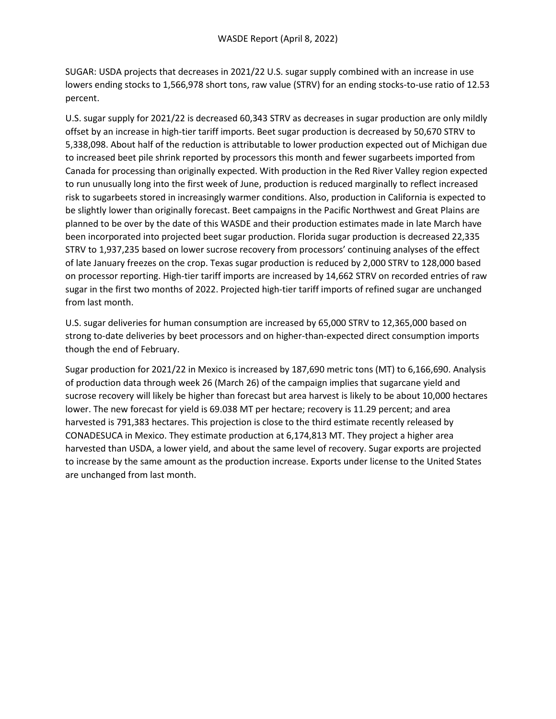SUGAR: USDA projects that decreases in 2021/22 U.S. sugar supply combined with an increase in use lowers ending stocks to 1,566,978 short tons, raw value (STRV) for an ending stocks-to-use ratio of 12.53 percent.

U.S. sugar supply for 2021/22 is decreased 60,343 STRV as decreases in sugar production are only mildly offset by an increase in high-tier tariff imports. Beet sugar production is decreased by 50,670 STRV to 5,338,098. About half of the reduction is attributable to lower production expected out of Michigan due to increased beet pile shrink reported by processors this month and fewer sugarbeets imported from Canada for processing than originally expected. With production in the Red River Valley region expected to run unusually long into the first week of June, production is reduced marginally to reflect increased risk to sugarbeets stored in increasingly warmer conditions. Also, production in California is expected to be slightly lower than originally forecast. Beet campaigns in the Pacific Northwest and Great Plains are planned to be over by the date of this WASDE and their production estimates made in late March have been incorporated into projected beet sugar production. Florida sugar production is decreased 22,335 STRV to 1,937,235 based on lower sucrose recovery from processors' continuing analyses of the effect of late January freezes on the crop. Texas sugar production is reduced by 2,000 STRV to 128,000 based on processor reporting. High-tier tariff imports are increased by 14,662 STRV on recorded entries of raw sugar in the first two months of 2022. Projected high-tier tariff imports of refined sugar are unchanged from last month.

U.S. sugar deliveries for human consumption are increased by 65,000 STRV to 12,365,000 based on strong to-date deliveries by beet processors and on higher-than-expected direct consumption imports though the end of February.

Sugar production for 2021/22 in Mexico is increased by 187,690 metric tons (MT) to 6,166,690. Analysis of production data through week 26 (March 26) of the campaign implies that sugarcane yield and sucrose recovery will likely be higher than forecast but area harvest is likely to be about 10,000 hectares lower. The new forecast for yield is 69.038 MT per hectare; recovery is 11.29 percent; and area harvested is 791,383 hectares. This projection is close to the third estimate recently released by CONADESUCA in Mexico. They estimate production at 6,174,813 MT. They project a higher area harvested than USDA, a lower yield, and about the same level of recovery. Sugar exports are projected to increase by the same amount as the production increase. Exports under license to the United States are unchanged from last month.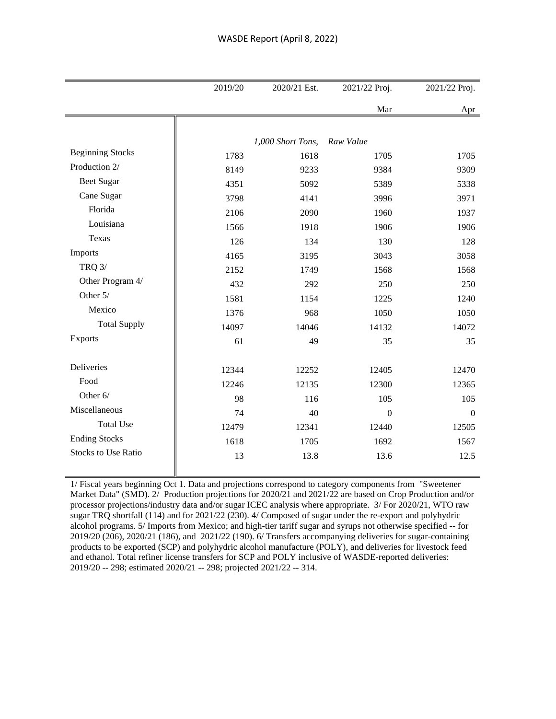|                            | 2019/20 | 2020/21 Est.      | 2021/22 Proj.    | 2021/22 Proj.  |
|----------------------------|---------|-------------------|------------------|----------------|
|                            |         |                   | Mar              | Apr            |
|                            |         |                   |                  |                |
|                            |         | 1,000 Short Tons, | Raw Value        |                |
| <b>Beginning Stocks</b>    | 1783    | 1618              | 1705             | 1705           |
| Production 2/              | 8149    | 9233              | 9384             | 9309           |
| <b>Beet Sugar</b>          | 4351    | 5092              | 5389             | 5338           |
| Cane Sugar                 | 3798    | 4141              | 3996             | 3971           |
| Florida                    | 2106    | 2090              | 1960             | 1937           |
| Louisiana                  | 1566    | 1918              | 1906             | 1906           |
| Texas                      | 126     | 134               | 130              | 128            |
| Imports                    | 4165    | 3195              | 3043             | 3058           |
| <b>TRQ 3/</b>              | 2152    | 1749              | 1568             | 1568           |
| Other Program 4/           | 432     | 292               | 250              | 250            |
| Other 5/                   | 1581    | 1154              | 1225             | 1240           |
| Mexico                     | 1376    | 968               | 1050             | 1050           |
| <b>Total Supply</b>        | 14097   | 14046             | 14132            | 14072          |
| Exports                    | 61      | 49                | 35               | 35             |
|                            |         |                   |                  |                |
| Deliveries                 | 12344   | 12252             | 12405            | 12470          |
| Food                       | 12246   | 12135             | 12300            | 12365          |
| Other 6/                   | 98      | 116               | 105              | 105            |
| Miscellaneous              | 74      | 40                | $\boldsymbol{0}$ | $\overline{0}$ |
| <b>Total Use</b>           | 12479   | 12341             | 12440            | 12505          |
| <b>Ending Stocks</b>       | 1618    | 1705              | 1692             | 1567           |
| <b>Stocks to Use Ratio</b> | 13      | 13.8              | 13.6             | 12.5           |

1/ Fiscal years beginning Oct 1. Data and projections correspond to category components from "Sweetener Market Data" (SMD). 2/ Production projections for 2020/21 and 2021/22 are based on Crop Production and/or processor projections/industry data and/or sugar ICEC analysis where appropriate. 3/ For 2020/21, WTO raw sugar TRQ shortfall (114) and for 2021/22 (230). 4/ Composed of sugar under the re-export and polyhydric alcohol programs. 5/ Imports from Mexico; and high-tier tariff sugar and syrups not otherwise specified -- for 2019/20 (206), 2020/21 (186), and 2021/22 (190). 6/ Transfers accompanying deliveries for sugar-containing products to be exported (SCP) and polyhydric alcohol manufacture (POLY), and deliveries for livestock feed and ethanol. Total refiner license transfers for SCP and POLY inclusive of WASDE-reported deliveries: 2019/20 -- 298; estimated 2020/21 -- 298; projected 2021/22 -- 314.